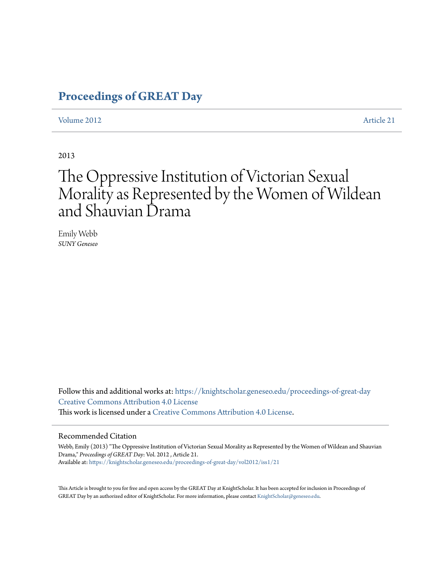### **[Proceedings of GREAT Day](https://knightscholar.geneseo.edu/proceedings-of-great-day?utm_source=knightscholar.geneseo.edu%2Fproceedings-of-great-day%2Fvol2012%2Fiss1%2F21&utm_medium=PDF&utm_campaign=PDFCoverPages)**

[Volume 2012](https://knightscholar.geneseo.edu/proceedings-of-great-day/vol2012?utm_source=knightscholar.geneseo.edu%2Fproceedings-of-great-day%2Fvol2012%2Fiss1%2F21&utm_medium=PDF&utm_campaign=PDFCoverPages) **[Article 21](https://knightscholar.geneseo.edu/proceedings-of-great-day/vol2012/iss1/21?utm_source=knightscholar.geneseo.edu%2Fproceedings-of-great-day%2Fvol2012%2Fiss1%2F21&utm_medium=PDF&utm_campaign=PDFCoverPages)** 

2013

# The Oppressive Institution of Victorian Sexual Morality as Represented by the Women of Wildean and Shauvian Drama

Emily Webb *SUNY Geneseo*

Follow this and additional works at: [https://knightscholar.geneseo.edu/proceedings-of-great-day](https://knightscholar.geneseo.edu/proceedings-of-great-day?utm_source=knightscholar.geneseo.edu%2Fproceedings-of-great-day%2Fvol2012%2Fiss1%2F21&utm_medium=PDF&utm_campaign=PDFCoverPages) [Creative Commons Attribution 4.0 License](http://creativecommons.org/licenses/by/4.0/) This work is licensed under a [Creative Commons Attribution 4.0 License.](http://creativecommons.org/licenses/by/4.0/)

#### Recommended Citation

Webb, Emily (2013) "The Oppressive Institution of Victorian Sexual Morality as Represented by the Women of Wildean and Shauvian Drama," *Proceedings of GREAT Day*: Vol. 2012 , Article 21. Available at: [https://knightscholar.geneseo.edu/proceedings-of-great-day/vol2012/iss1/21](https://knightscholar.geneseo.edu/proceedings-of-great-day/vol2012/iss1/21?utm_source=knightscholar.geneseo.edu%2Fproceedings-of-great-day%2Fvol2012%2Fiss1%2F21&utm_medium=PDF&utm_campaign=PDFCoverPages)

This Article is brought to you for free and open access by the GREAT Day at KnightScholar. It has been accepted for inclusion in Proceedings of GREAT Day by an authorized editor of KnightScholar. For more information, please contact [KnightScholar@geneseo.edu.](mailto:KnightScholar@geneseo.edu)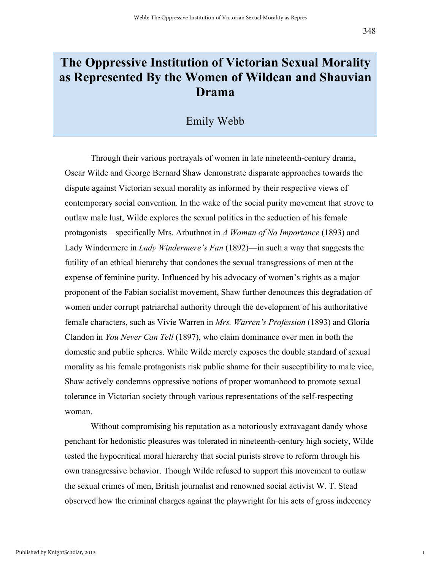1

## **The Oppressive Institution of Victorian Sexual Morality as Represented By the Women of Wildean and Shauvian Drama**

### Emily Webb

Through their various portrayals of women in late nineteenth-century drama, Oscar Wilde and George Bernard Shaw demonstrate disparate approaches towards the dispute against Victorian sexual morality as informed by their respective views of contemporary social convention. In the wake of the social purity movement that strove to outlaw male lust, Wilde explores the sexual politics in the seduction of his female protagonists—specifically Mrs. Arbuthnot in *A Woman of No Importance* (1893) and Lady Windermere in *Lady Windermere's Fan* (1892)—in such a way that suggests the futility of an ethical hierarchy that condones the sexual transgressions of men at the expense of feminine purity. Influenced by his advocacy of women's rights as a major proponent of the Fabian socialist movement, Shaw further denounces this degradation of women under corrupt patriarchal authority through the development of his authoritative female characters, such as Vivie Warren in *Mrs. Warren's Profession* (1893) and Gloria Clandon in *You Never Can Tell* (1897), who claim dominance over men in both the domestic and public spheres. While Wilde merely exposes the double standard of sexual morality as his female protagonists risk public shame for their susceptibility to male vice, Shaw actively condemns oppressive notions of proper womanhood to promote sexual tolerance in Victorian society through various representations of the self-respecting woman.

Without compromising his reputation as a notoriously extravagant dandy whose penchant for hedonistic pleasures was tolerated in nineteenth-century high society, Wilde tested the hypocritical moral hierarchy that social purists strove to reform through his own transgressive behavior. Though Wilde refused to support this movement to outlaw the sexual crimes of men, British journalist and renowned social activist W. T. Stead observed how the criminal charges against the playwright for his acts of gross indecency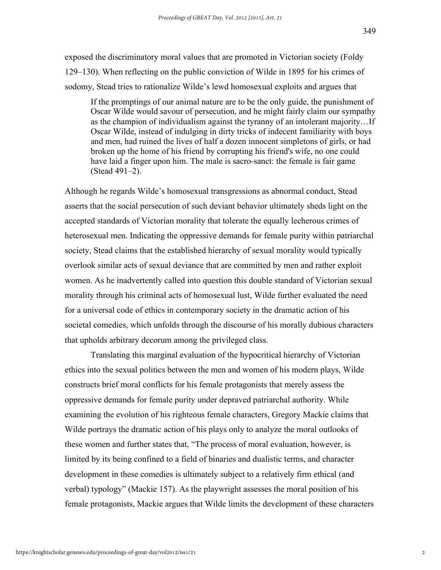exposed the discriminatory moral values that are promoted in Victorian society (Foldy 129–130). When reflecting on the public conviction of Wilde in 1895 for his crimes of sodomy, Stead tries to rationalize Wilde's lewd homosexual exploits and argues that

If the promptings of our animal nature are to be the only guide, the punishment of Oscar Wilde would savour of persecution, and he might fairly claim our sympathy as the champion of individualism against the tyranny of an intolerant majority…If Oscar Wilde, instead of indulging in dirty tricks of indecent familiarity with boys and men, had ruined the lives of half a dozen innocent simpletons of girls, or had broken up the home of his friend by corrupting his friend's wife, no one could have laid a finger upon him. The male is sacro-sanct: the female is fair game (Stead 491–2).

Although he regards Wilde's homosexual transgressions as abnormal conduct, Stead asserts that the social persecution of such deviant behavior ultimately sheds light on the accepted standards of Victorian morality that tolerate the equally lecherous crimes of heterosexual men. Indicating the oppressive demands for female purity within patriarchal society, Stead claims that the established hierarchy of sexual morality would typically overlook similar acts of sexual deviance that are committed by men and rather exploit women. As he inadvertently called into question this double standard of Victorian sexual morality through his criminal acts of homosexual lust, Wilde further evaluated the need for a universal code of ethics in contemporary society in the dramatic action of his societal comedies, which unfolds through the discourse of his morally dubious characters that upholds arbitrary decorum among the privileged class.

Translating this marginal evaluation of the hypocritical hierarchy of Victorian ethics into the sexual politics between the men and women of his modern plays, Wilde constructs brief moral conflicts for his female protagonists that merely assess the oppressive demands for female purity under depraved patriarchal authority. While examining the evolution of his righteous female characters, Gregory Mackie claims that Wilde portrays the dramatic action of his plays only to analyze the moral outlooks of these women and further states that, "The process of moral evaluation, however, is limited by its being confined to a field of binaries and dualistic terms, and character development in these comedies is ultimately subject to a relatively firm ethical (and verbal) typology" (Mackie 157). As the playwright assesses the moral position of his female protagonists, Mackie argues that Wilde limits the development of these characters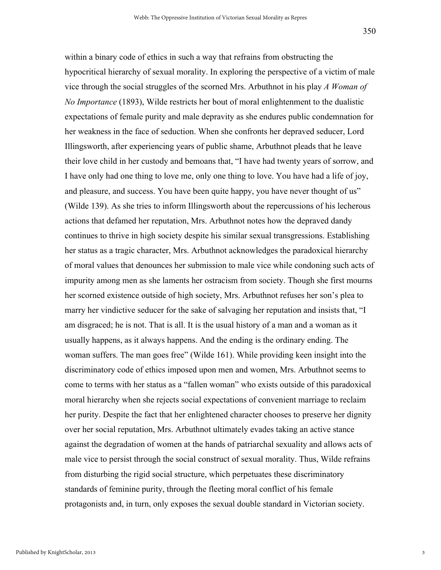within a binary code of ethics in such a way that refrains from obstructing the hypocritical hierarchy of sexual morality. In exploring the perspective of a victim of male vice through the social struggles of the scorned Mrs. Arbuthnot in his play *A Woman of No Importance* (1893), Wilde restricts her bout of moral enlightenment to the dualistic expectations of female purity and male depravity as she endures public condemnation for her weakness in the face of seduction. When she confronts her depraved seducer, Lord Illingsworth, after experiencing years of public shame, Arbuthnot pleads that he leave their love child in her custody and bemoans that, "I have had twenty years of sorrow, and I have only had one thing to love me, only one thing to love. You have had a life of joy, and pleasure, and success. You have been quite happy, you have never thought of us" (Wilde 139). As she tries to inform Illingsworth about the repercussions of his lecherous actions that defamed her reputation, Mrs. Arbuthnot notes how the depraved dandy continues to thrive in high society despite his similar sexual transgressions. Establishing her status as a tragic character, Mrs. Arbuthnot acknowledges the paradoxical hierarchy of moral values that denounces her submission to male vice while condoning such acts of impurity among men as she laments her ostracism from society. Though she first mourns her scorned existence outside of high society, Mrs. Arbuthnot refuses her son's plea to marry her vindictive seducer for the sake of salvaging her reputation and insists that, "I am disgraced; he is not. That is all. It is the usual history of a man and a woman as it usually happens, as it always happens. And the ending is the ordinary ending. The woman suffers. The man goes free" (Wilde 161). While providing keen insight into the discriminatory code of ethics imposed upon men and women, Mrs. Arbuthnot seems to come to terms with her status as a "fallen woman" who exists outside of this paradoxical moral hierarchy when she rejects social expectations of convenient marriage to reclaim her purity. Despite the fact that her enlightened character chooses to preserve her dignity over her social reputation, Mrs. Arbuthnot ultimately evades taking an active stance against the degradation of women at the hands of patriarchal sexuality and allows acts of male vice to persist through the social construct of sexual morality. Thus, Wilde refrains from disturbing the rigid social structure, which perpetuates these discriminatory standards of feminine purity, through the fleeting moral conflict of his female protagonists and, in turn, only exposes the sexual double standard in Victorian society.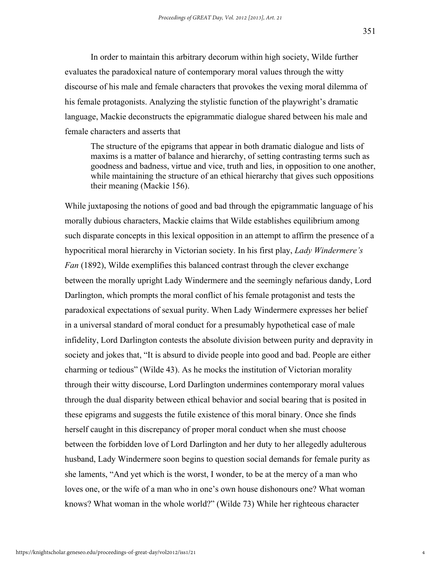In order to maintain this arbitrary decorum within high society, Wilde further evaluates the paradoxical nature of contemporary moral values through the witty discourse of his male and female characters that provokes the vexing moral dilemma of his female protagonists. Analyzing the stylistic function of the playwright's dramatic language, Mackie deconstructs the epigrammatic dialogue shared between his male and female characters and asserts that

The structure of the epigrams that appear in both dramatic dialogue and lists of maxims is a matter of balance and hierarchy, of setting contrasting terms such as goodness and badness, virtue and vice, truth and lies, in opposition to one another, while maintaining the structure of an ethical hierarchy that gives such oppositions their meaning (Mackie 156).

While juxtaposing the notions of good and bad through the epigrammatic language of his morally dubious characters, Mackie claims that Wilde establishes equilibrium among such disparate concepts in this lexical opposition in an attempt to affirm the presence of a hypocritical moral hierarchy in Victorian society. In his first play, *Lady Windermere's Fan* (1892), Wilde exemplifies this balanced contrast through the clever exchange between the morally upright Lady Windermere and the seemingly nefarious dandy, Lord Darlington, which prompts the moral conflict of his female protagonist and tests the paradoxical expectations of sexual purity. When Lady Windermere expresses her belief in a universal standard of moral conduct for a presumably hypothetical case of male infidelity, Lord Darlington contests the absolute division between purity and depravity in society and jokes that, "It is absurd to divide people into good and bad. People are either charming or tedious" (Wilde 43). As he mocks the institution of Victorian morality through their witty discourse, Lord Darlington undermines contemporary moral values through the dual disparity between ethical behavior and social bearing that is posited in these epigrams and suggests the futile existence of this moral binary. Once she finds herself caught in this discrepancy of proper moral conduct when she must choose between the forbidden love of Lord Darlington and her duty to her allegedly adulterous husband, Lady Windermere soon begins to question social demands for female purity as she laments, "And yet which is the worst, I wonder, to be at the mercy of a man who loves one, or the wife of a man who in one's own house dishonours one? What woman knows? What woman in the whole world?" (Wilde 73) While her righteous character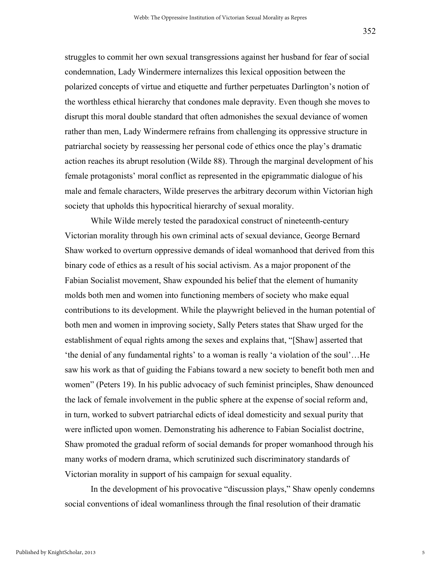struggles to commit her own sexual transgressions against her husband for fear of social condemnation, Lady Windermere internalizes this lexical opposition between the polarized concepts of virtue and etiquette and further perpetuates Darlington's notion of the worthless ethical hierarchy that condones male depravity. Even though she moves to disrupt this moral double standard that often admonishes the sexual deviance of women rather than men, Lady Windermere refrains from challenging its oppressive structure in patriarchal society by reassessing her personal code of ethics once the play's dramatic action reaches its abrupt resolution (Wilde 88). Through the marginal development of his female protagonists' moral conflict as represented in the epigrammatic dialogue of his male and female characters, Wilde preserves the arbitrary decorum within Victorian high society that upholds this hypocritical hierarchy of sexual morality.

While Wilde merely tested the paradoxical construct of nineteenth-century Victorian morality through his own criminal acts of sexual deviance, George Bernard Shaw worked to overturn oppressive demands of ideal womanhood that derived from this binary code of ethics as a result of his social activism. As a major proponent of the Fabian Socialist movement, Shaw expounded his belief that the element of humanity molds both men and women into functioning members of society who make equal contributions to its development. While the playwright believed in the human potential of both men and women in improving society, Sally Peters states that Shaw urged for the establishment of equal rights among the sexes and explains that, "[Shaw] asserted that 'the denial of any fundamental rights' to a woman is really 'a violation of the soul'…He saw his work as that of guiding the Fabians toward a new society to benefit both men and women" (Peters 19). In his public advocacy of such feminist principles, Shaw denounced the lack of female involvement in the public sphere at the expense of social reform and, in turn, worked to subvert patriarchal edicts of ideal domesticity and sexual purity that were inflicted upon women. Demonstrating his adherence to Fabian Socialist doctrine, Shaw promoted the gradual reform of social demands for proper womanhood through his many works of modern drama, which scrutinized such discriminatory standards of Victorian morality in support of his campaign for sexual equality.

In the development of his provocative "discussion plays," Shaw openly condemns social conventions of ideal womanliness through the final resolution of their dramatic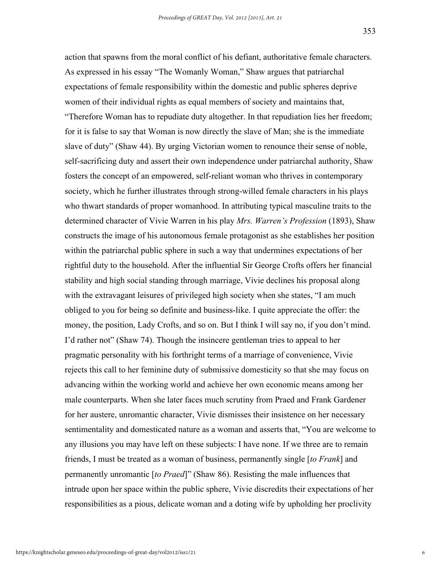action that spawns from the moral conflict of his defiant, authoritative female characters. As expressed in his essay "The Womanly Woman," Shaw argues that patriarchal expectations of female responsibility within the domestic and public spheres deprive women of their individual rights as equal members of society and maintains that, "Therefore Woman has to repudiate duty altogether. In that repudiation lies her freedom; for it is false to say that Woman is now directly the slave of Man; she is the immediate slave of duty" (Shaw 44). By urging Victorian women to renounce their sense of noble, self-sacrificing duty and assert their own independence under patriarchal authority, Shaw fosters the concept of an empowered, self-reliant woman who thrives in contemporary society, which he further illustrates through strong-willed female characters in his plays who thwart standards of proper womanhood. In attributing typical masculine traits to the determined character of Vivie Warren in his play *Mrs. Warren's Profession* (1893), Shaw constructs the image of his autonomous female protagonist as she establishes her position within the patriarchal public sphere in such a way that undermines expectations of her rightful duty to the household. After the influential Sir George Crofts offers her financial stability and high social standing through marriage, Vivie declines his proposal along with the extravagant leisures of privileged high society when she states, "I am much obliged to you for being so definite and business-like. I quite appreciate the offer: the money, the position, Lady Crofts, and so on. But I think I will say no, if you don't mind. I'd rather not" (Shaw 74). Though the insincere gentleman tries to appeal to her pragmatic personality with his forthright terms of a marriage of convenience, Vivie rejects this call to her feminine duty of submissive domesticity so that she may focus on advancing within the working world and achieve her own economic means among her male counterparts. When she later faces much scrutiny from Praed and Frank Gardener for her austere, unromantic character, Vivie dismisses their insistence on her necessary sentimentality and domesticated nature as a woman and asserts that, "You are welcome to any illusions you may have left on these subjects: I have none. If we three are to remain friends, I must be treated as a woman of business, permanently single [*to Frank*] and permanently unromantic [*to Praed*]" (Shaw 86). Resisting the male influences that intrude upon her space within the public sphere, Vivie discredits their expectations of her responsibilities as a pious, delicate woman and a doting wife by upholding her proclivity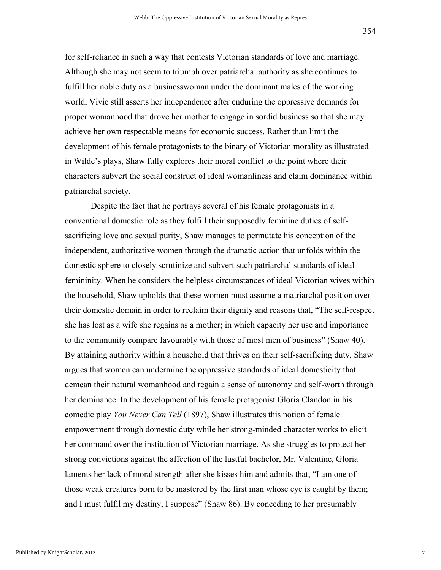for self-reliance in such a way that contests Victorian standards of love and marriage. Although she may not seem to triumph over patriarchal authority as she continues to fulfill her noble duty as a businesswoman under the dominant males of the working world, Vivie still asserts her independence after enduring the oppressive demands for proper womanhood that drove her mother to engage in sordid business so that she may achieve her own respectable means for economic success. Rather than limit the development of his female protagonists to the binary of Victorian morality as illustrated in Wilde's plays, Shaw fully explores their moral conflict to the point where their characters subvert the social construct of ideal womanliness and claim dominance within patriarchal society.

Despite the fact that he portrays several of his female protagonists in a conventional domestic role as they fulfill their supposedly feminine duties of selfsacrificing love and sexual purity, Shaw manages to permutate his conception of the independent, authoritative women through the dramatic action that unfolds within the domestic sphere to closely scrutinize and subvert such patriarchal standards of ideal femininity. When he considers the helpless circumstances of ideal Victorian wives within the household, Shaw upholds that these women must assume a matriarchal position over their domestic domain in order to reclaim their dignity and reasons that, "The self-respect she has lost as a wife she regains as a mother; in which capacity her use and importance to the community compare favourably with those of most men of business" (Shaw 40). By attaining authority within a household that thrives on their self-sacrificing duty, Shaw argues that women can undermine the oppressive standards of ideal domesticity that demean their natural womanhood and regain a sense of autonomy and self-worth through her dominance. In the development of his female protagonist Gloria Clandon in his comedic play *You Never Can Tell* (1897), Shaw illustrates this notion of female empowerment through domestic duty while her strong-minded character works to elicit her command over the institution of Victorian marriage. As she struggles to protect her strong convictions against the affection of the lustful bachelor, Mr. Valentine, Gloria laments her lack of moral strength after she kisses him and admits that, "I am one of those weak creatures born to be mastered by the first man whose eye is caught by them; and I must fulfil my destiny, I suppose" (Shaw 86). By conceding to her presumably

7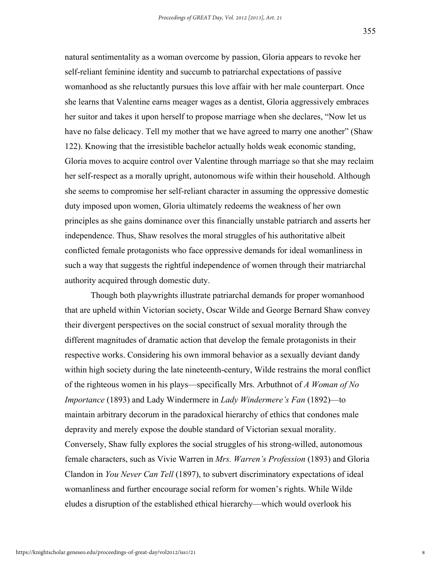natural sentimentality as a woman overcome by passion, Gloria appears to revoke her self-reliant feminine identity and succumb to patriarchal expectations of passive womanhood as she reluctantly pursues this love affair with her male counterpart. Once she learns that Valentine earns meager wages as a dentist, Gloria aggressively embraces her suitor and takes it upon herself to propose marriage when she declares, "Now let us have no false delicacy. Tell my mother that we have agreed to marry one another" (Shaw 122). Knowing that the irresistible bachelor actually holds weak economic standing, Gloria moves to acquire control over Valentine through marriage so that she may reclaim her self-respect as a morally upright, autonomous wife within their household. Although she seems to compromise her self-reliant character in assuming the oppressive domestic duty imposed upon women, Gloria ultimately redeems the weakness of her own principles as she gains dominance over this financially unstable patriarch and asserts her independence. Thus, Shaw resolves the moral struggles of his authoritative albeit conflicted female protagonists who face oppressive demands for ideal womanliness in such a way that suggests the rightful independence of women through their matriarchal authority acquired through domestic duty.

Though both playwrights illustrate patriarchal demands for proper womanhood that are upheld within Victorian society, Oscar Wilde and George Bernard Shaw convey their divergent perspectives on the social construct of sexual morality through the different magnitudes of dramatic action that develop the female protagonists in their respective works. Considering his own immoral behavior as a sexually deviant dandy within high society during the late nineteenth-century, Wilde restrains the moral conflict of the righteous women in his plays—specifically Mrs. Arbuthnot of *A Woman of No Importance* (1893) and Lady Windermere in *Lady Windermere's Fan* (1892)—to maintain arbitrary decorum in the paradoxical hierarchy of ethics that condones male depravity and merely expose the double standard of Victorian sexual morality. Conversely, Shaw fully explores the social struggles of his strong-willed, autonomous female characters, such as Vivie Warren in *Mrs. Warren's Profession* (1893) and Gloria Clandon in *You Never Can Tell* (1897), to subvert discriminatory expectations of ideal womanliness and further encourage social reform for women's rights. While Wilde eludes a disruption of the established ethical hierarchy—which would overlook his